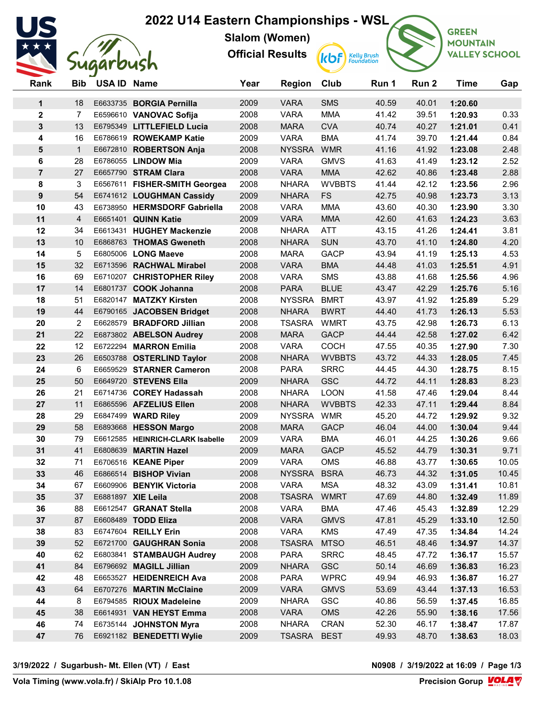## 2022 U14 Eastern Championships - WSL



Slalom (Women)

Official Results



**kbf** Kelly Brush

**GREEN MOUNTAIN VALLEY SCHOOL** 

| Rank                    | <b>Bib</b>        | USA ID Name |                                                      | Year         | <b>Region</b>              | Club                       | Run 1          | Run 2          | <b>Time</b>        | Gap            |
|-------------------------|-------------------|-------------|------------------------------------------------------|--------------|----------------------------|----------------------------|----------------|----------------|--------------------|----------------|
| 1                       | 18                |             | E6633735 BORGIA Pernilla                             | 2009         | <b>VARA</b>                | <b>SMS</b>                 | 40.59          | 40.01          | 1:20.60            |                |
| $\mathbf 2$             | $\overline{7}$    |             | E6596610 VANOVAC Sofija                              | 2008         | <b>VARA</b>                | <b>MMA</b>                 | 41.42          | 39.51          | 1:20.93            | 0.33           |
| $\mathbf{3}$            | 13                |             | E6795349 LITTLEFIELD Lucia                           | 2008         | <b>MARA</b>                | <b>CVA</b>                 | 40.74          | 40.27          | 1:21.01            | 0.41           |
| $\overline{\mathbf{4}}$ | 16                |             | E6786619 ROWEKAMP Katie                              | 2009         | <b>VARA</b>                | <b>BMA</b>                 | 41.74          | 39.70          | 1:21.44            | 0.84           |
| $\overline{\mathbf{5}}$ | $\mathbf{1}$      |             | E6672810 ROBERTSON Anja                              | 2008         | NYSSRA WMR                 |                            | 41.16          | 41.92          | 1:23.08            | 2.48           |
| 6                       | 28                |             | E6786055 LINDOW Mia                                  | 2009         | <b>VARA</b>                | <b>GMVS</b>                | 41.63          | 41.49          | 1:23.12            | 2.52           |
| $\overline{7}$          | 27                |             | E6657790 STRAM Clara                                 | 2008         | <b>VARA</b>                | <b>MMA</b>                 | 42.62          | 40.86          | 1:23.48            | 2.88           |
| 8                       | 3                 |             | E6567611 FISHER-SMITH Georgea                        | 2008         | <b>NHARA</b>               | <b>WVBBTS</b>              | 41.44          | 42.12          | 1:23.56            | 2.96           |
| 9                       | 54                |             | E6741612 LOUGHMAN Cassidy                            | 2009         | <b>NHARA</b>               | <b>FS</b>                  | 42.75          | 40.98          | 1:23.73            | 3.13           |
| 10                      | 43                |             | E6738950 HERMSDORF Gabriella                         | 2008         | <b>VARA</b>                | <b>MMA</b>                 | 43.60          | 40.30          | 1:23.90            | 3.30           |
| 11                      | $\overline{4}$    |             | E6651401 QUINN Katie                                 | 2009         | <b>VARA</b>                | <b>MMA</b>                 | 42.60          | 41.63          | 1:24.23            | 3.63           |
| 12                      | 34                |             | E6613431 HUGHEY Mackenzie                            | 2008         | <b>NHARA</b>               | <b>ATT</b>                 | 43.15          | 41.26          | 1:24.41            | 3.81           |
| 13                      | 10                |             | E6868763 THOMAS Gweneth                              | 2008         | <b>NHARA</b>               | <b>SUN</b>                 | 43.70          | 41.10          | 1:24.80            | 4.20           |
| 14                      | 5                 |             | E6805006 LONG Maeve                                  | 2008         | <b>MARA</b>                | <b>GACP</b>                | 43.94          | 41.19          | 1:25.13            | 4.53           |
| 15                      | 32                |             | E6713596 RACHWAL Mirabel                             | 2008         | <b>VARA</b>                | <b>BMA</b>                 | 44.48          | 41.03          | 1:25.51            | 4.91           |
| 16                      | 69                |             | E6710207 CHRISTOPHER Riley                           | 2008         | <b>VARA</b>                | <b>SMS</b>                 | 43.88          | 41.68          | 1:25.56            | 4.96           |
| 17                      | 14                |             | E6801737 COOK Johanna                                | 2008         | <b>PARA</b>                | <b>BLUE</b>                | 43.47          | 42.29          | 1:25.76            | 5.16           |
| 18                      | 51                |             | E6820147 MATZKY Kirsten                              | 2008         | <b>NYSSRA</b>              | <b>BMRT</b>                | 43.97          | 41.92          | 1:25.89            | 5.29           |
| 19                      | 44                |             | E6790165 JACOBSEN Bridget                            | 2008         | <b>NHARA</b>               | <b>BWRT</b>                | 44.40          | 41.73          | 1:26.13            | 5.53           |
| 20                      | $\overline{2}$    |             | E6628579 BRADFORD Jillian                            | 2008         | TSASRA                     | <b>WMRT</b>                | 43.75          | 42.98          | 1:26.73            | 6.13           |
| 21                      | 22                |             | E6873802 ABELSON Audrey                              | 2008         | <b>MARA</b>                | <b>GACP</b>                | 44.44          | 42.58          | 1:27.02            | 6.42           |
| 22                      | $12 \overline{ }$ |             | E6722294 MARRON Emilia                               | 2008         | <b>VARA</b>                | <b>COCH</b>                | 47.55          | 40.35          | 1:27.90            | 7.30           |
| 23                      | 26                |             | E6503788 OSTERLIND Taylor                            | 2008         | <b>NHARA</b>               | <b>WVBBTS</b>              | 43.72          | 44.33          | 1:28.05            | 7.45           |
| 24                      | 6                 |             | E6659529 STARNER Cameron                             | 2008         | <b>PARA</b>                | <b>SRRC</b>                | 44.45          | 44.30          | 1:28.75            | 8.15           |
| 25                      | 50                |             | E6649720 STEVENS Ella                                | 2009         | <b>NHARA</b>               | <b>GSC</b>                 | 44.72          | 44.11          | 1:28.83            | 8.23           |
| 26                      | 21                |             | E6714736 COREY Hadassah                              | 2008         | <b>NHARA</b>               | <b>LOON</b>                | 41.58          | 47.46          | 1:29.04            | 8.44           |
| 27                      | 11                |             | E6865596 AFZELIUS Ellen                              | 2008         | <b>NHARA</b>               | <b>WVBBTS</b>              | 42.33          | 47.11          | 1:29.44            | 8.84           |
| 28                      | 29                |             | E6847499 WARD Riley                                  | 2009         | <b>NYSSRA</b>              | <b>WMR</b>                 | 45.20          | 44.72          | 1:29.92            | 9.32           |
| 29                      | 58                |             | E6893668 HESSON Margo                                | 2008         | <b>MARA</b>                | <b>GACP</b>                | 46.04          | 44.00          | 1:30.04            | 9.44           |
| 30                      | 79                |             | E6612585 HEINRICH-CLARK Isabelle                     | 2009         | <b>VARA</b>                | <b>BMA</b>                 | 46.01          | 44.25          | 1:30.26            | 9.66           |
| 31                      | 41                |             | E6808639 MARTIN Hazel                                | 2009         | <b>MARA</b>                | <b>GACP</b>                | 45.52          | 44.79          | 1:30.31            | 9.71           |
| 32                      | 71                |             | E6706516 KEANE Piper                                 | 2009         | <b>VARA</b>                | <b>OMS</b>                 | 46.88          | 43.77          | 1:30.65            | 10.05          |
| 33                      | 46                |             | E6866514 BISHOP Vivian                               | 2008         | <b>NYSSRA</b>              | <b>BSRA</b>                | 46.73          | 44.32          | 1:31.05            | 10.45          |
| 34                      | 67                |             | E6609906 BENYIK Victoria                             | 2008         | <b>VARA</b>                | <b>MSA</b>                 | 48.32          | 43.09          | 1:31.41            | 10.81          |
| 35                      | 37                |             | E6881897 XIE Leila                                   | 2008         | TSASRA WMRT                |                            | 47.69          | 44.80          | 1:32.49            | 11.89          |
| 36                      | 88                |             | E6612547 GRANAT Stella                               | 2008         | <b>VARA</b>                | <b>BMA</b>                 | 47.46          | 45.43          | 1:32.89            | 12.29          |
| 37                      | 87                |             | E6608489 TODD Eliza                                  | 2008         | <b>VARA</b><br><b>VARA</b> | <b>GMVS</b>                | 47.81          | 45.29          | 1:33.10            | 12.50          |
| 38                      | 83<br>52          |             | E6747604 REILLY Erin<br>E6721700 GAUGHRAN Sonia      | 2008         | <b>TSASRA</b>              | <b>KMS</b>                 | 47.49          | 47.35          | 1:34.84            | 14.24<br>14.37 |
| 39<br>40                | 62                |             |                                                      | 2008<br>2008 | <b>PARA</b>                | <b>MTSO</b><br><b>SRRC</b> | 46.51<br>48.45 | 48.46<br>47.72 | 1:34.97<br>1:36.17 | 15.57          |
| 41                      | 84                |             | E6803841 STAMBAUGH Audrey<br>E6796692 MAGILL Jillian | 2009         | <b>NHARA</b>               | <b>GSC</b>                 | 50.14          | 46.69          | 1:36.83            | 16.23          |
| 42                      | 48                |             | E6653527 HEIDENREICH Ava                             | 2008         | <b>PARA</b>                | <b>WPRC</b>                | 49.94          | 46.93          | 1:36.87            | 16.27          |
| 43                      | 64                |             | E6707276 MARTIN McClaine                             | 2009         | <b>VARA</b>                | <b>GMVS</b>                | 53.69          | 43.44          | 1:37.13            | 16.53          |
| 44                      | 8                 |             | E6794585 RIOUX Madeleine                             | 2009         | <b>NHARA</b>               | GSC                        | 40.86          | 56.59          | 1:37.45            | 16.85          |
| 45                      | 38                |             | E6614931 VAN HEYST Emma                              | 2008         | <b>VARA</b>                | <b>OMS</b>                 | 42.26          | 55.90          | 1:38.16            | 17.56          |
| 46                      | 74                |             | E6735144 JOHNSTON Myra                               | 2008         | <b>NHARA</b>               | <b>CRAN</b>                | 52.30          | 46.17          | 1:38.47            | 17.87          |
| 47                      | 76                |             | E6921182 BENEDETTI Wylie                             | 2009         | TSASRA                     | <b>BEST</b>                | 49.93          | 48.70          | 1:38.63            | 18.03          |
|                         |                   |             |                                                      |              |                            |                            |                |                |                    |                |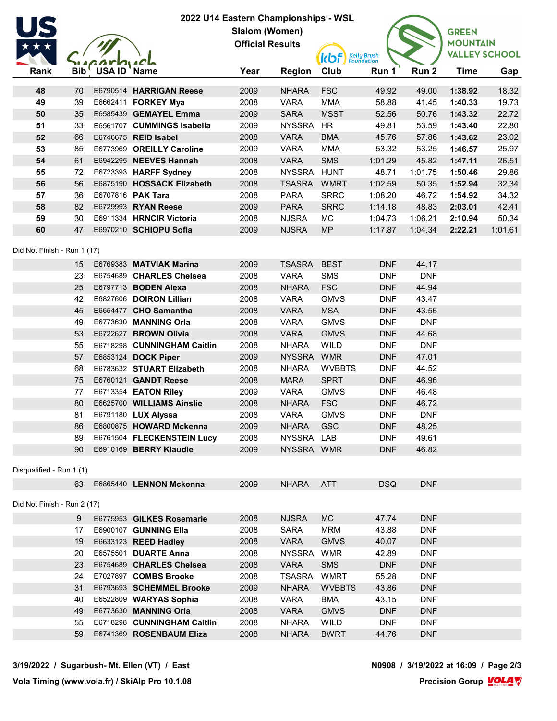| 2022 U14 Eastern Championships - WSL |          |                 |                                                   |                         |                               |                                             |                          |                     |                      |         |
|--------------------------------------|----------|-----------------|---------------------------------------------------|-------------------------|-------------------------------|---------------------------------------------|--------------------------|---------------------|----------------------|---------|
|                                      |          | Slalom (Women)  |                                                   |                         |                               |                                             |                          |                     | <b>GREEN</b>         |         |
|                                      |          |                 |                                                   | <b>Official Results</b> |                               |                                             |                          |                     | <b>MOUNTAIN</b>      |         |
|                                      |          |                 |                                                   |                         |                               | <b>kbf</b> <i>Kelly Brush</i><br>Foundation |                          |                     | <b>VALLEY SCHOOL</b> |         |
| Rank                                 |          | Bib USA ID Name |                                                   | Year                    | <b>Region</b>                 | Club                                        | Run 1                    | Run <sub>2</sub>    | <b>Time</b>          | Gap     |
| 48                                   | 70       |                 | E6790514 HARRIGAN Reese                           | 2009                    | <b>NHARA</b>                  | <b>FSC</b>                                  | 49.92                    | 49.00               | 1:38.92              | 18.32   |
| 49                                   | 39       |                 | E6662411 <b>FORKEY Mya</b>                        | 2008                    | <b>VARA</b>                   | <b>MMA</b>                                  | 58.88                    | 41.45               | 1:40.33              | 19.73   |
| 50                                   | 35       |                 | E6585439 GEMAYEL Emma                             | 2009                    | <b>SARA</b>                   | <b>MSST</b>                                 | 52.56                    | 50.76               | 1:43.32              | 22.72   |
| 51                                   | 33       |                 | E6561707 CUMMINGS Isabella                        | 2009                    | <b>NYSSRA</b>                 | <b>HR</b>                                   | 49.81                    | 53.59               | 1:43.40              | 22.80   |
| 52                                   | 66       |                 | E6746675 REID Isabel                              | 2008                    | <b>VARA</b>                   | <b>BMA</b>                                  | 45.76                    | 57.86               | 1:43.62              | 23.02   |
| 53                                   | 85       |                 | E6773969 OREILLY Caroline                         | 2009                    | <b>VARA</b>                   | <b>MMA</b>                                  | 53.32                    | 53.25               | 1:46.57              | 25.97   |
| 54                                   | 61       |                 | E6942295 NEEVES Hannah                            | 2008                    | <b>VARA</b>                   | <b>SMS</b>                                  | 1:01.29                  | 45.82               | 1:47.11              | 26.51   |
| 55                                   | 72       |                 | E6723393 HARFF Sydney                             | 2008                    | <b>NYSSRA</b>                 | <b>HUNT</b>                                 | 48.71                    | 1:01.75             | 1:50.46              | 29.86   |
| 56                                   | 56       |                 | E6875190 HOSSACK Elizabeth                        | 2008                    | TSASRA WMRT                   |                                             | 1:02.59                  | 50.35               | 1:52.94              | 32.34   |
| 57                                   | 36       |                 | E6707816 PAK Tara                                 | 2008                    | <b>PARA</b>                   | <b>SRRC</b>                                 | 1:08.20                  | 46.72               | 1:54.92              | 34.32   |
| 58                                   | 82       |                 | E6729993 RYAN Reese                               | 2009                    | <b>PARA</b>                   | <b>SRRC</b>                                 | 1:14.18                  | 48.83               | 2:03.01              | 42.41   |
| 59                                   | 30       |                 | E6911334 HRNCIR Victoria                          | 2008                    | <b>NJSRA</b>                  | <b>MC</b>                                   | 1:04.73                  | 1:06.21             | 2:10.94              | 50.34   |
| 60                                   | 47       |                 | E6970210 SCHIOPU Sofia                            | 2009                    | <b>NJSRA</b>                  | <b>MP</b>                                   | 1:17.87                  | 1:04.34             | 2:22.21              | 1:01.61 |
|                                      |          |                 |                                                   |                         |                               |                                             |                          |                     |                      |         |
| Did Not Finish - Run 1 (17)          |          |                 |                                                   |                         |                               |                                             |                          |                     |                      |         |
|                                      | 15       |                 | E6769383 MATVIAK Marina                           | 2009                    | <b>TSASRA</b>                 | <b>BEST</b>                                 | <b>DNF</b>               | 44.17               |                      |         |
|                                      | 23       |                 | E6754689 CHARLES Chelsea                          | 2008                    | <b>VARA</b>                   | <b>SMS</b>                                  | <b>DNF</b>               | <b>DNF</b>          |                      |         |
|                                      | 25       |                 | E6797713 BODEN Alexa                              | 2008                    | <b>NHARA</b>                  | <b>FSC</b>                                  | <b>DNF</b>               | 44.94               |                      |         |
|                                      | 42       |                 | E6827606 DOIRON Lillian                           | 2008                    | <b>VARA</b>                   | <b>GMVS</b>                                 | <b>DNF</b>               | 43.47               |                      |         |
|                                      | 45       |                 | E6654477 CHO Samantha                             | 2008                    | <b>VARA</b>                   | <b>MSA</b>                                  | <b>DNF</b>               | 43.56               |                      |         |
|                                      | 49       |                 | E6773630 MANNING Orla                             | 2008                    | <b>VARA</b>                   | <b>GMVS</b>                                 | <b>DNF</b>               | <b>DNF</b>          |                      |         |
|                                      | 53       |                 | E6722627 BROWN Olivia                             | 2008                    | <b>VARA</b>                   | <b>GMVS</b>                                 | <b>DNF</b>               | 44.68               |                      |         |
|                                      | 55<br>57 |                 | E6718298 CUNNINGHAM Caitlin                       | 2008<br>2009            | <b>NHARA</b><br><b>NYSSRA</b> | WILD<br><b>WMR</b>                          | <b>DNF</b><br><b>DNF</b> | <b>DNF</b><br>47.01 |                      |         |
|                                      | 68       |                 | E6853124 DOCK Piper                               | 2008                    | <b>NHARA</b>                  | <b>WVBBTS</b>                               | <b>DNF</b>               | 44.52               |                      |         |
|                                      | 75       |                 | E6783632 STUART Elizabeth<br>E6760121 GANDT Reese | 2008                    | <b>MARA</b>                   | <b>SPRT</b>                                 | <b>DNF</b>               | 46.96               |                      |         |
|                                      | 77       |                 | E6713354 EATON Riley                              | 2009                    | <b>VARA</b>                   | <b>GMVS</b>                                 | <b>DNF</b>               | 46.48               |                      |         |
|                                      | 80       |                 | E6625700 WILLIAMS Ainslie                         | 2008                    | <b>NHARA</b>                  | <b>FSC</b>                                  | <b>DNF</b>               | 46.72               |                      |         |
|                                      | 81       |                 | E6791180 LUX Alyssa                               | 2008                    | <b>VARA</b>                   | <b>GMVS</b>                                 | <b>DNF</b>               | <b>DNF</b>          |                      |         |
|                                      | 86       |                 | E6800875 HOWARD Mckenna                           | 2009                    | <b>NHARA</b>                  | <b>GSC</b>                                  | <b>DNF</b>               | 48.25               |                      |         |
|                                      | 89       |                 | E6761504 FLECKENSTEIN Lucy                        | 2008                    | NYSSRA LAB                    |                                             | <b>DNF</b>               | 49.61               |                      |         |
|                                      | 90       |                 | E6910169 BERRY Klaudie                            | 2009                    | NYSSRA WMR                    |                                             | <b>DNF</b>               | 46.82               |                      |         |
|                                      |          |                 |                                                   |                         |                               |                                             |                          |                     |                      |         |
| Disqualified - Run 1 (1)             |          |                 |                                                   |                         |                               |                                             |                          |                     |                      |         |
|                                      | 63       |                 | E6865440 LENNON Mckenna                           | 2009                    | <b>NHARA</b>                  | <b>ATT</b>                                  | <b>DSQ</b>               | <b>DNF</b>          |                      |         |
| Did Not Finish - Run 2 (17)          |          |                 |                                                   |                         |                               |                                             |                          |                     |                      |         |
|                                      | 9        |                 | E6775953 GILKES Rosemarie                         | 2008                    | <b>NJSRA</b>                  | <b>MC</b>                                   | 47.74                    | <b>DNF</b>          |                      |         |
|                                      | 17       |                 | E6900107 GUNNING Ella                             | 2008                    | <b>SARA</b>                   | <b>MRM</b>                                  | 43.88                    | <b>DNF</b>          |                      |         |
|                                      | 19       |                 | E6633123 REED Hadley                              | 2008                    | <b>VARA</b>                   | <b>GMVS</b>                                 | 40.07                    | <b>DNF</b>          |                      |         |
|                                      | 20       |                 | E6575501 DUARTE Anna                              | 2008                    | <b>NYSSRA</b>                 | <b>WMR</b>                                  | 42.89                    | <b>DNF</b>          |                      |         |
|                                      | 23       |                 | E6754689 CHARLES Chelsea                          | 2008                    | <b>VARA</b>                   | <b>SMS</b>                                  | <b>DNF</b>               | <b>DNF</b>          |                      |         |
|                                      | 24       |                 | E7027897 COMBS Brooke                             | 2008                    | TSASRA                        | <b>WMRT</b>                                 | 55.28                    | <b>DNF</b>          |                      |         |
|                                      | 31       |                 | E6793693 SCHEMMEL Brooke                          | 2009                    | <b>NHARA</b>                  | <b>WVBBTS</b>                               | 43.86                    | <b>DNF</b>          |                      |         |
|                                      | 40       |                 | E6522809 WARYAS Sophia                            | 2008                    | <b>VARA</b>                   | <b>BMA</b>                                  | 43.15                    | <b>DNF</b>          |                      |         |
|                                      | 49       |                 | E6773630 MANNING Orla                             | 2008                    | <b>VARA</b>                   | <b>GMVS</b>                                 | <b>DNF</b>               | <b>DNF</b>          |                      |         |
|                                      | 55       |                 | E6718298 CUNNINGHAM Caitlin                       | 2008                    | <b>NHARA</b>                  | <b>WILD</b>                                 | <b>DNF</b>               | <b>DNF</b>          |                      |         |
|                                      | 59       |                 | E6741369 ROSENBAUM Eliza                          | 2008                    | <b>NHARA</b>                  | <b>BWRT</b>                                 | 44.76                    | <b>DNF</b>          |                      |         |